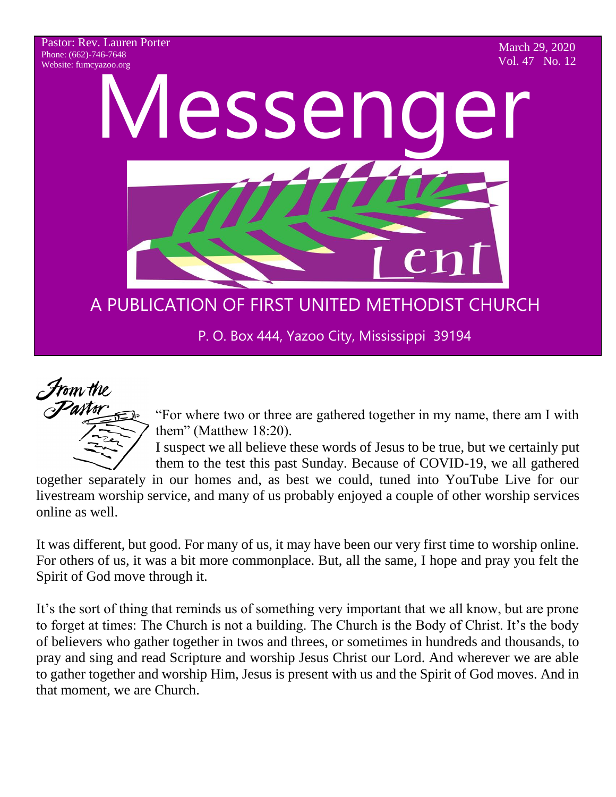Pastor: Rev. Lauren Porter Phone: (662)-746-7648 Website: fumcyazoo.org

Vlesseng

## A PUBLICATION OF FIRST UNITED METHODIST CHURCH

P. O. Box 444, Yazoo City, Mississippi 39194



"For where two or three are gathered together in my name, there am I with them" (Matthew 18:20).

I suspect we all believe these words of Jesus to be true, but we certainly put them to the test this past Sunday. Because of COVID-19, we all gathered

together separately in our homes and, as best we could, tuned into YouTube Live for our livestream worship service, and many of us probably enjoyed a couple of other worship services online as well.

It was different, but good. For many of us, it may have been our very first time to worship online. For others of us, it was a bit more commonplace. But, all the same, I hope and pray you felt the Spirit of God move through it.

It's the sort of thing that reminds us of something very important that we all know, but are prone to forget at times: The Church is not a building. The Church is the Body of Christ. It's the body of believers who gather together in twos and threes, or sometimes in hundreds and thousands, to pray and sing and read Scripture and worship Jesus Christ our Lord. And wherever we are able to gather together and worship Him, Jesus is present with us and the Spirit of God moves. And in that moment, we are Church.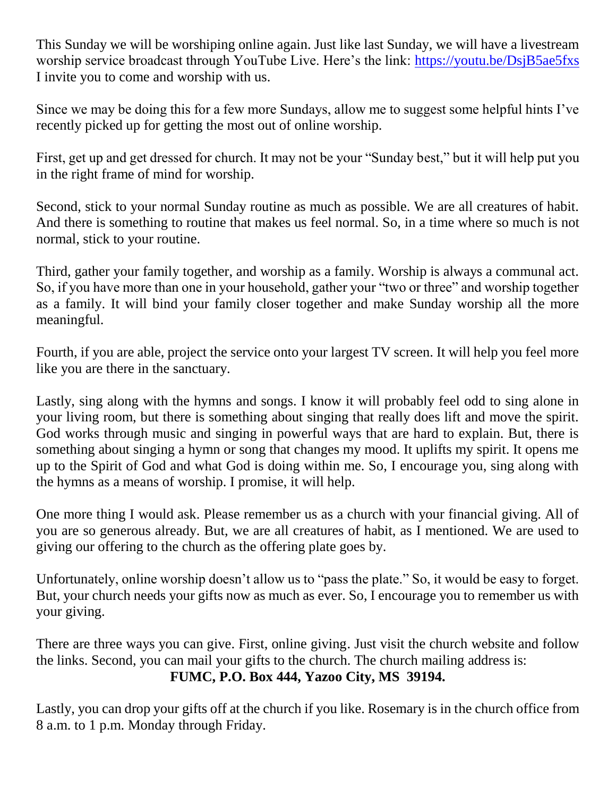This Sunday we will be worshiping online again. Just like last Sunday, we will have a livestream worship service broadcast through YouTube Live. Here's the link:<https://youtu.be/DsjB5ae5fxs> I invite you to come and worship with us.

Since we may be doing this for a few more Sundays, allow me to suggest some helpful hints I've recently picked up for getting the most out of online worship.

First, get up and get dressed for church. It may not be your "Sunday best," but it will help put you in the right frame of mind for worship.

Second, stick to your normal Sunday routine as much as possible. We are all creatures of habit. And there is something to routine that makes us feel normal. So, in a time where so much is not normal, stick to your routine.

Third, gather your family together, and worship as a family. Worship is always a communal act. So, if you have more than one in your household, gather your "two or three" and worship together as a family. It will bind your family closer together and make Sunday worship all the more meaningful.

Fourth, if you are able, project the service onto your largest TV screen. It will help you feel more like you are there in the sanctuary.

Lastly, sing along with the hymns and songs. I know it will probably feel odd to sing alone in your living room, but there is something about singing that really does lift and move the spirit. God works through music and singing in powerful ways that are hard to explain. But, there is something about singing a hymn or song that changes my mood. It uplifts my spirit. It opens me up to the Spirit of God and what God is doing within me. So, I encourage you, sing along with the hymns as a means of worship. I promise, it will help.

One more thing I would ask. Please remember us as a church with your financial giving. All of you are so generous already. But, we are all creatures of habit, as I mentioned. We are used to giving our offering to the church as the offering plate goes by.

Unfortunately, online worship doesn't allow us to "pass the plate." So, it would be easy to forget. But, your church needs your gifts now as much as ever. So, I encourage you to remember us with your giving.

There are three ways you can give. First, online giving. Just visit the church website and follow the links. Second, you can mail your gifts to the church. The church mailing address is: **FUMC, P.O. Box 444, Yazoo City, MS 39194.**

Lastly, you can drop your gifts off at the church if you like. Rosemary is in the church office from 8 a.m. to 1 p.m. Monday through Friday.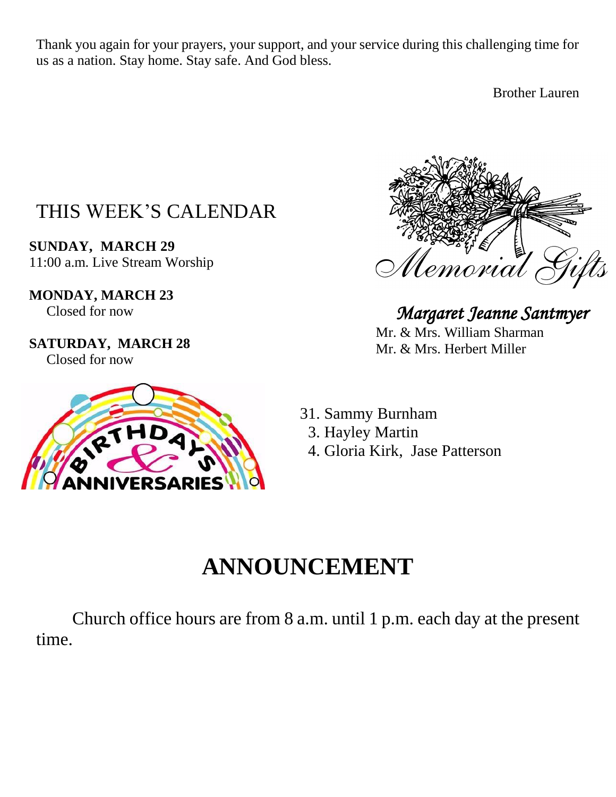Thank you again for your prayers, your support, and your service during this challenging time for us as a nation. Stay home. Stay safe. And God bless.

Brother Lauren

## THIS WEEK'S CALENDAR

**SUNDAY, MARCH 29** 11:00 a.m. Live Stream Worship

**MONDAY, MARCH 23** Closed for now

#### **SATURDAY, MARCH 28** Closed for now





*Margaret Jeanne Santmyer*  Mr. & Mrs. William Sharman Mr. & Mrs. Herbert Miller

- 31. Sammy Burnham
	- 3. Hayley Martin
	- 4. Gloria Kirk, Jase Patterson

# **ANNOUNCEMENT**

Church office hours are from 8 a.m. until 1 p.m. each day at the present time.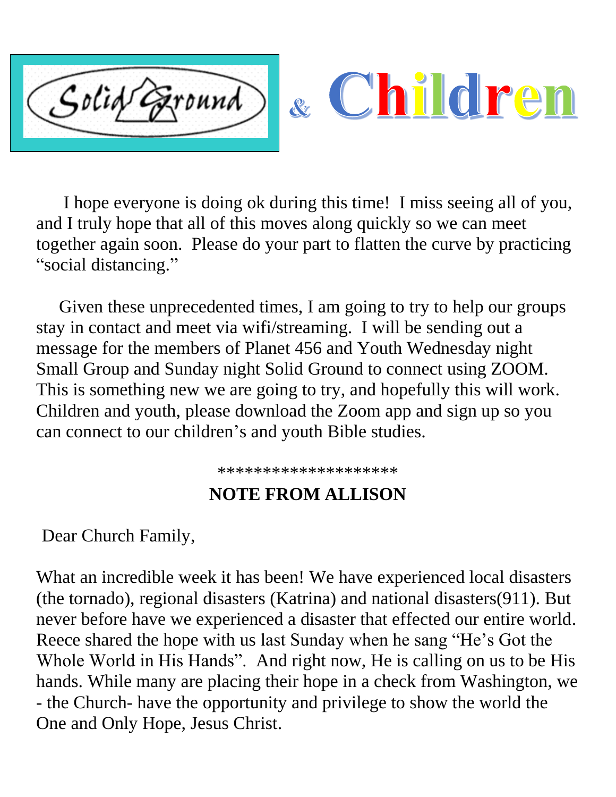& Children ound

 I hope everyone is doing ok during this time! I miss seeing all of you, and I truly hope that all of this moves along quickly so we can meet together again soon. Please do your part to flatten the curve by practicing "social distancing."

 Given these unprecedented times, I am going to try to help our groups stay in contact and meet via wifi/streaming. I will be sending out a message for the members of Planet 456 and Youth Wednesday night Small Group and Sunday night Solid Ground to connect using ZOOM. This is something new we are going to try, and hopefully this will work. Children and youth, please download the Zoom app and sign up so you can connect to our children's and youth Bible studies.

\*\*\*\*\*\*\*\*\*\*\*\*\*\*\*\*\*\*\*\*

#### **NOTE FROM ALLISON**

Dear Church Family,

What an incredible week it has been! We have experienced local disasters (the tornado), regional disasters (Katrina) and national disasters(911). But never before have we experienced a disaster that effected our entire world. Reece shared the hope with us last Sunday when he sang "He's Got the Whole World in His Hands". And right now, He is calling on us to be His hands. While many are placing their hope in a check from Washington, we - the Church- have the opportunity and privilege to show the world the One and Only Hope, Jesus Christ.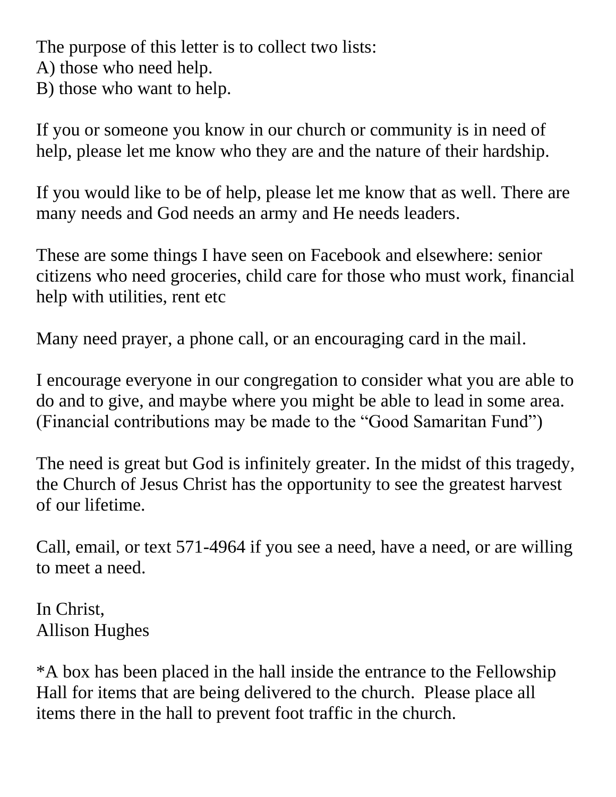The purpose of this letter is to collect two lists: A) those who need help. B) those who want to help.

If you or someone you know in our church or community is in need of help, please let me know who they are and the nature of their hardship.

If you would like to be of help, please let me know that as well. There are many needs and God needs an army and He needs leaders.

These are some things I have seen on Facebook and elsewhere: senior citizens who need groceries, child care for those who must work, financial help with utilities, rent etc

Many need prayer, a phone call, or an encouraging card in the mail.

I encourage everyone in our congregation to consider what you are able to do and to give, and maybe where you might be able to lead in some area. (Financial contributions may be made to the "Good Samaritan Fund")

The need is great but God is infinitely greater. In the midst of this tragedy, the Church of Jesus Christ has the opportunity to see the greatest harvest of our lifetime.

Call, email, or text 571-4964 if you see a need, have a need, or are willing to meet a need.

In Christ, Allison Hughes

\*A box has been placed in the hall inside the entrance to the Fellowship Hall for items that are being delivered to the church. Please place all items there in the hall to prevent foot traffic in the church.